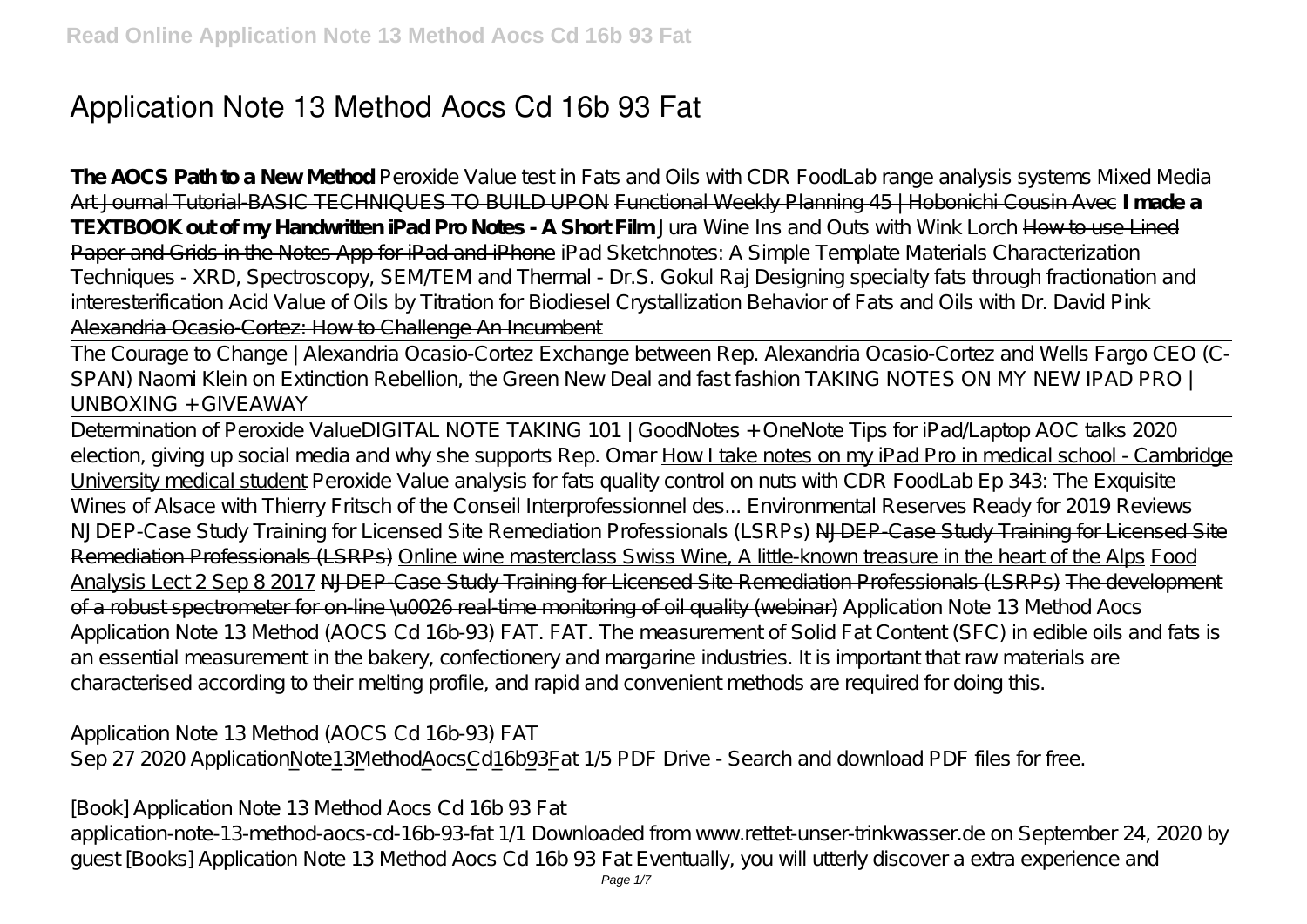# **Application Note 13 Method Aocs Cd 16b 93 Fat**

**The AOCS Path to a New Method** Peroxide Value test in Fats and Oils with CDR FoodLab range analysis systems Mixed Media Art Journal Tutorial-BASIC TECHNIQUES TO BUILD UPON Functional Weekly Planning 45 | Hobonichi Cousin Avec **I made a TEXTBOOK out of my Handwritten iPad Pro Notes - A Short Film** *Jura Wine Ins and Outs with Wink Lorch* How to use Lined Paper and Grids in the Notes App for iPad and iPhone *iPad Sketchnotes: A Simple Template Materials Characterization Techniques - XRD, Spectroscopy, SEM/TEM and Thermal - Dr.S. Gokul Raj* Designing specialty fats through fractionation and interesterification Acid Value of Oils by Titration for Biodiesel Crystallization Behavior of Fats and Oils with Dr. David Pink Alexandria Ocasio-Cortez: How to Challenge An Incumbent

The Courage to Change | Alexandria Ocasio-Cortez Exchange between Rep. Alexandria Ocasio-Cortez and Wells Fargo CEO (C-SPAN) Naomi Klein on Extinction Rebellion, the Green New Deal and fast fashion TAKING NOTES ON MY NEW IPAD PRO | UNBOXING + GIVEAWAY

Determination of Peroxide Value*DIGITAL NOTE TAKING 101 | GoodNotes + OneNote Tips for iPad/Laptop AOC talks 2020 election, giving up social media and why she supports Rep. Omar* How I take notes on my iPad Pro in medical school - Cambridge University medical student *Peroxide Value analysis for fats quality control on nuts with CDR FoodLab Ep 343: The Exquisite Wines of Alsace with Thierry Fritsch of the Conseil Interprofessionnel des... Environmental Reserves Ready for 2019 Reviews NJDEP-Case Study Training for Licensed Site Remediation Professionals (LSRPs)* NJDEP-Case Study Training for Licensed Site Remediation Professionals (LSRPs) Online wine masterclass Swiss Wine, A little-known treasure in the heart of the Alps Food Analysis Lect 2 Sep 8 2017 NJDEP-Case Study Training for Licensed Site Remediation Professionals (LSRPs) The development of a robust spectrometer for on-line \u0026 real-time monitoring of oil quality (webinar) Application Note 13 Method Aocs Application Note 13 Method (AOCS Cd 16b-93) FAT. FAT. The measurement of Solid Fat Content (SFC) in edible oils and fats is an essential measurement in the bakery, confectionery and margarine industries. It is important that raw materials are characterised according to their melting profile, and rapid and convenient methods are required for doing this.

Application Note 13 Method (AOCS Cd 16b-93) FAT Sep 27 2020 ApplicationNote13MethodAocsCd16b93Fat 1/5 PDF Drive - Search and download PDF files for free.

[Book] Application Note 13 Method Aocs Cd 16b 93 Fat application-note-13-method-aocs-cd-16b-93-fat 1/1 Downloaded from www.rettet-unser-trinkwasser.de on September 24, 2020 by guest [Books] Application Note 13 Method Aocs Cd 16b 93 Fat Eventually, you will utterly discover a extra experience and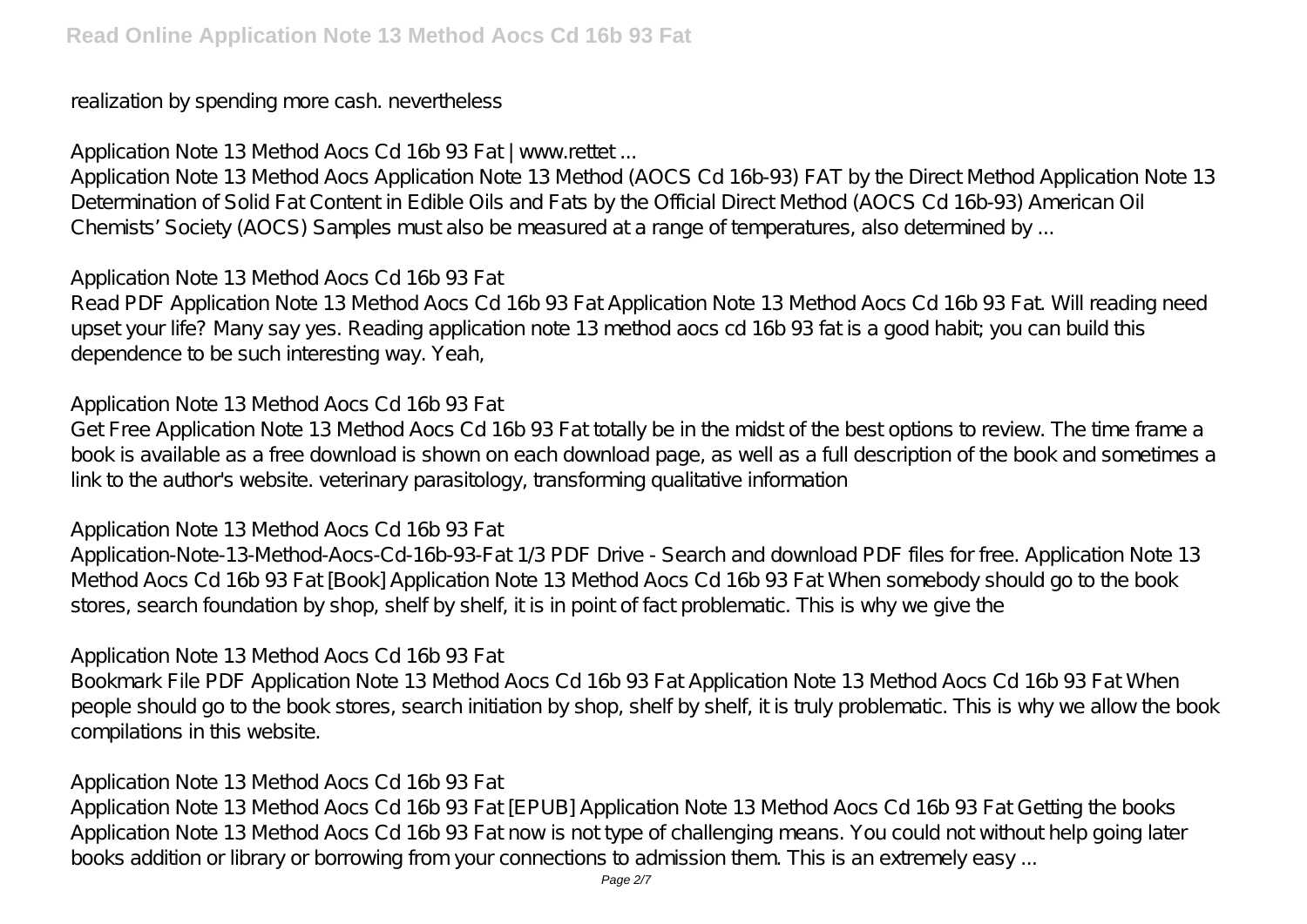realization by spending more cash. nevertheless

Application Note 13 Method Aocs Cd 16b 93 Fat | www.rettet ...

Application Note 13 Method Aocs Application Note 13 Method (AOCS Cd 16b-93) FAT by the Direct Method Application Note 13 Determination of Solid Fat Content in Edible Oils and Fats by the Official Direct Method (AOCS Cd 16b-93) American Oil Chemists' Society (AOCS) Samples must also be measured at a range of temperatures, also determined by ...

Application Note 13 Method Aocs Cd 16b 93 Fat

Read PDF Application Note 13 Method Aocs Cd 16b 93 Fat Application Note 13 Method Aocs Cd 16b 93 Fat. Will reading need upset your life? Many say yes. Reading application note 13 method aocs cd 16b 93 fat is a good habit; you can build this dependence to be such interesting way. Yeah,

#### Application Note 13 Method Aocs Cd 16b 93 Fat

Get Free Application Note 13 Method Aocs Cd 16b 93 Fat totally be in the midst of the best options to review. The time frame a book is available as a free download is shown on each download page, as well as a full description of the book and sometimes a link to the author's website. veterinary parasitology, transforming qualitative information

#### Application Note 13 Method Aocs Cd 16b 93 Fat

Application-Note-13-Method-Aocs-Cd-16b-93-Fat 1/3 PDF Drive - Search and download PDF files for free. Application Note 13 Method Aocs Cd 16b 93 Fat [Book] Application Note 13 Method Aocs Cd 16b 93 Fat When somebody should go to the book stores, search foundation by shop, shelf by shelf, it is in point of fact problematic. This is why we give the

Application Note 13 Method Aocs Cd 16b 93 Fat

Bookmark File PDF Application Note 13 Method Aocs Cd 16b 93 Fat Application Note 13 Method Aocs Cd 16b 93 Fat When people should go to the book stores, search initiation by shop, shelf by shelf, it is truly problematic. This is why we allow the book compilations in this website.

## Application Note 13 Method Aocs Cd 16b 93 Fat

Application Note 13 Method Aocs Cd 16b 93 Fat [EPUB] Application Note 13 Method Aocs Cd 16b 93 Fat Getting the books Application Note 13 Method Aocs Cd 16b 93 Fat now is not type of challenging means. You could not without help going later books addition or library or borrowing from your connections to admission them. This is an extremely easy ...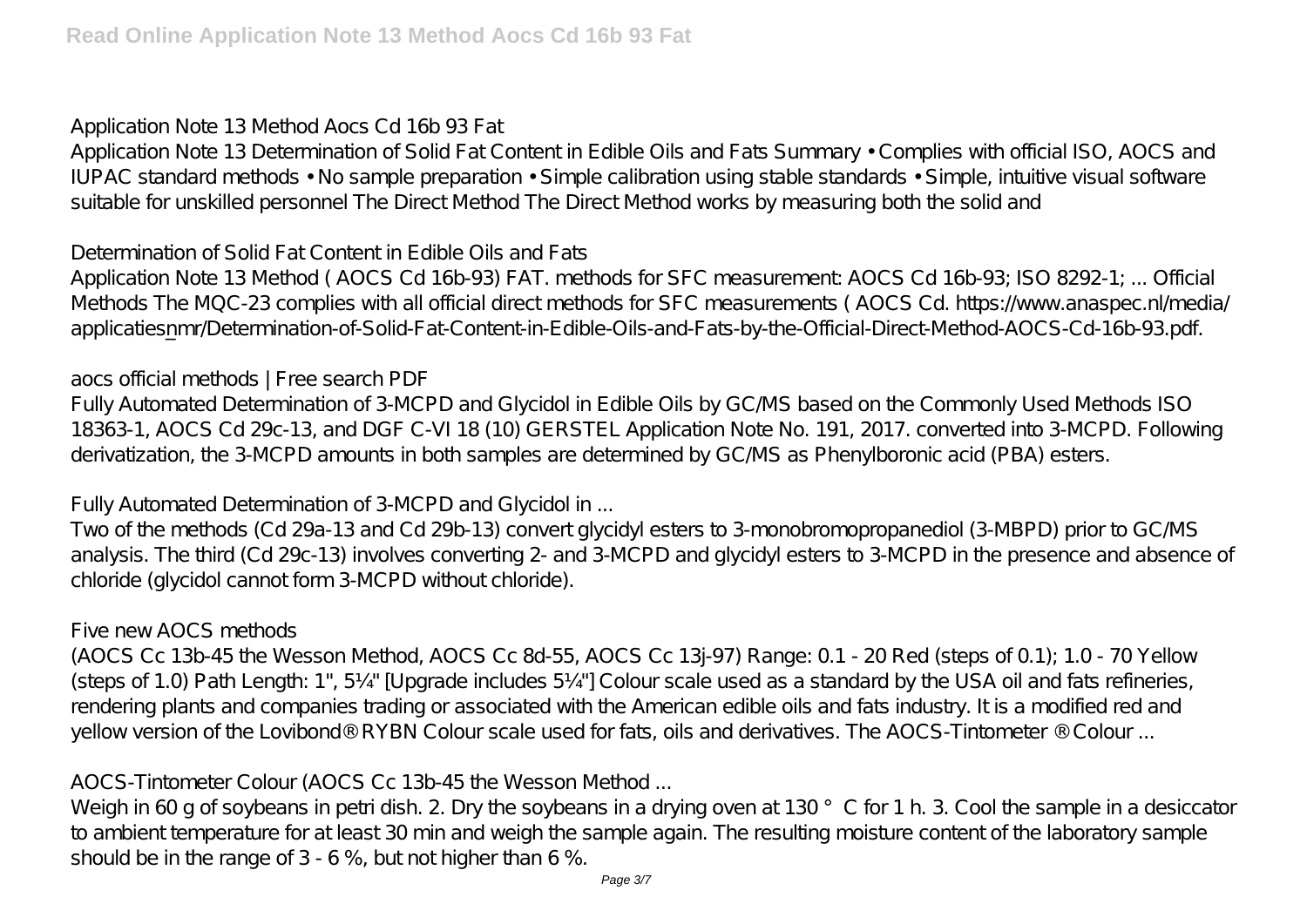Application Note 13 Method Aocs Cd 16b 93 Fat

Application Note 13 Determination of Solid Fat Content in Edible Oils and Fats Summary • Complies with official ISO, AOCS and IUPAC standard methods • No sample preparation • Simple calibration using stable standards • Simple, intuitive visual software suitable for unskilled personnel The Direct Method The Direct Method works by measuring both the solid and

Determination of Solid Fat Content in Edible Oils and Fats

Application Note 13 Method ( AOCS Cd 16b-93) FAT. methods for SFC measurement: AOCS Cd 16b-93; ISO 8292-1; ... Official Methods The MQC-23 complies with all official direct methods for SFC measurements (AOCS Cd. https://www.anaspec.nl/media/ applicatiesnmr/Determination-of-Solid-Fat-Content-in-Edible-Oils-and-Fats-by-the-Official-Direct-Method-AOCS-Cd-16b-93.pdf.

aocs official methods | Free search PDF

Fully Automated Determination of 3-MCPD and Glycidol in Edible Oils by GC/MS based on the Commonly Used Methods ISO 18363-1, AOCS Cd 29c-13, and DGF C-VI 18 (10) GERSTEL Application Note No. 191, 2017. converted into 3-MCPD. Following derivatization, the 3-MCPD amounts in both samples are determined by GC/MS as Phenylboronic acid (PBA) esters.

Fully Automated Determination of 3-MCPD and Glycidol in ...

Two of the methods (Cd 29a-13 and Cd 29b-13) convert glycidyl esters to 3-monobromopropanediol (3-MBPD) prior to GC/MS analysis. The third (Cd 29c-13) involves converting 2- and 3-MCPD and glycidyl esters to 3-MCPD in the presence and absence of chloride (glycidol cannot form 3-MCPD without chloride).

Five new AOCS methods

(AOCS Cc 13b-45 the Wesson Method, AOCS Cc 8d-55, AOCS Cc 13j-97) Range: 0.1 - 20 Red (steps of 0.1); 1.0 - 70 Yellow (steps of 1.0) Path Length: 1", 5¼" [Upgrade includes 5¼"] Colour scale used as a standard by the USA oil and fats refineries, rendering plants and companies trading or associated with the American edible oils and fats industry. It is a modified red and yellow version of the Lovibond® RYBN Colour scale used for fats, oils and derivatives. The AOCS-Tintometer ® Colour ...

AOCS-Tintometer Colour (AOCS Cc 13b-45 the Wesson Method ...

Weigh in 60 g of soybeans in petri dish. 2. Dry the soybeans in a drying oven at 130 °C for 1 h. 3. Cool the sample in a desiccator to ambient temperature for at least 30 min and weigh the sample again. The resulting moisture content of the laboratory sample should be in the range of 3 - 6 %, but not higher than 6 %.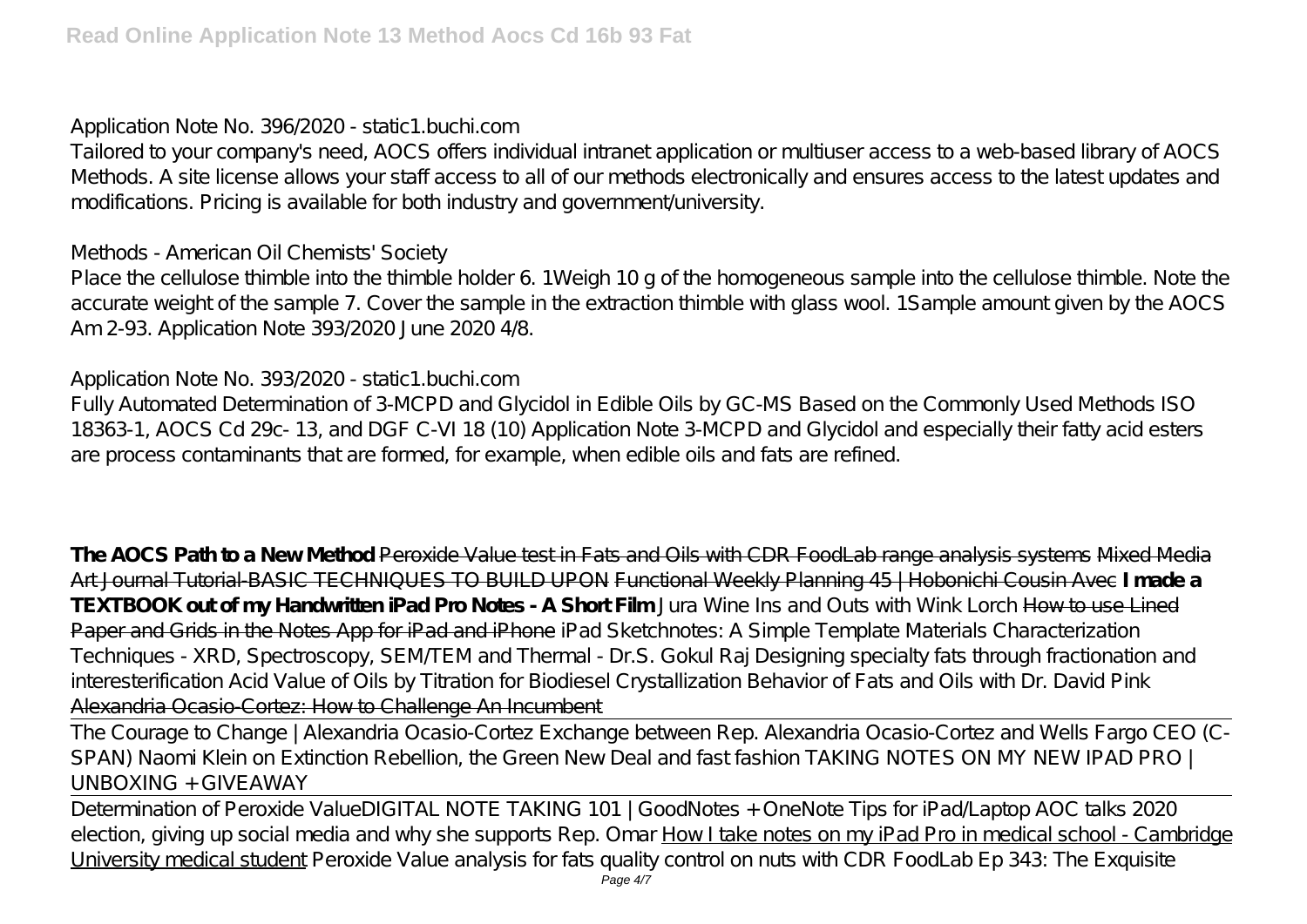Application Note No. 396/2020 - static1.buchi.com

Tailored to your company's need, AOCS offers individual intranet application or multiuser access to a web-based library of AOCS Methods. A site license allows your staff access to all of our methods electronically and ensures access to the latest updates and modifications. Pricing is available for both industry and government/university.

Methods - American Oil Chemists' Society

Place the cellulose thimble into the thimble holder 6. 1Weigh 10 g of the homogeneous sample into the cellulose thimble. Note the accurate weight of the sample 7. Cover the sample in the extraction thimble with glass wool. 1Sample amount given by the AOCS Am 2-93. Application Note 393/2020 June 2020 4/8.

Application Note No. 393/2020 - static1.buchi.com

Fully Automated Determination of 3-MCPD and Glycidol in Edible Oils by GC-MS Based on the Commonly Used Methods ISO 18363-1, AOCS Cd 29c- 13, and DGF C-VI 18 (10) Application Note 3-MCPD and Glycidol and especially their fatty acid esters are process contaminants that are formed, for example, when edible oils and fats are refined.

**The AOCS Path to a New Method** Peroxide Value test in Fats and Oils with CDR FoodLab range analysis systems Mixed Media Art Journal Tutorial-BASIC TECHNIQUES TO BUILD UPON Functional Weekly Planning 45 | Hobonichi Cousin Avec **I made a TEXTBOOK out of my Handwritten iPad Pro Notes - A Short Film** *Jura Wine Ins and Outs with Wink Lorch* How to use Lined Paper and Grids in the Notes App for iPad and iPhone *iPad Sketchnotes: A Simple Template Materials Characterization Techniques - XRD, Spectroscopy, SEM/TEM and Thermal - Dr.S. Gokul Raj* Designing specialty fats through fractionation and interesterification Acid Value of Oils by Titration for Biodiesel Crystallization Behavior of Fats and Oils with Dr. David Pink Alexandria Ocasio-Cortez: How to Challenge An Incumbent

The Courage to Change | Alexandria Ocasio-Cortez Exchange between Rep. Alexandria Ocasio-Cortez and Wells Fargo CEO (C-SPAN) Naomi Klein on Extinction Rebellion, the Green New Deal and fast fashion TAKING NOTES ON MY NEW IPAD PRO |  $IINROXING + GIVFAWAY$ 

Determination of Peroxide Value*DIGITAL NOTE TAKING 101 | GoodNotes + OneNote Tips for iPad/Laptop AOC talks 2020 election, giving up social media and why she supports Rep. Omar* How I take notes on my iPad Pro in medical school - Cambridge University medical student *Peroxide Value analysis for fats quality control on nuts with CDR FoodLab Ep 343: The Exquisite* Page  $4/7$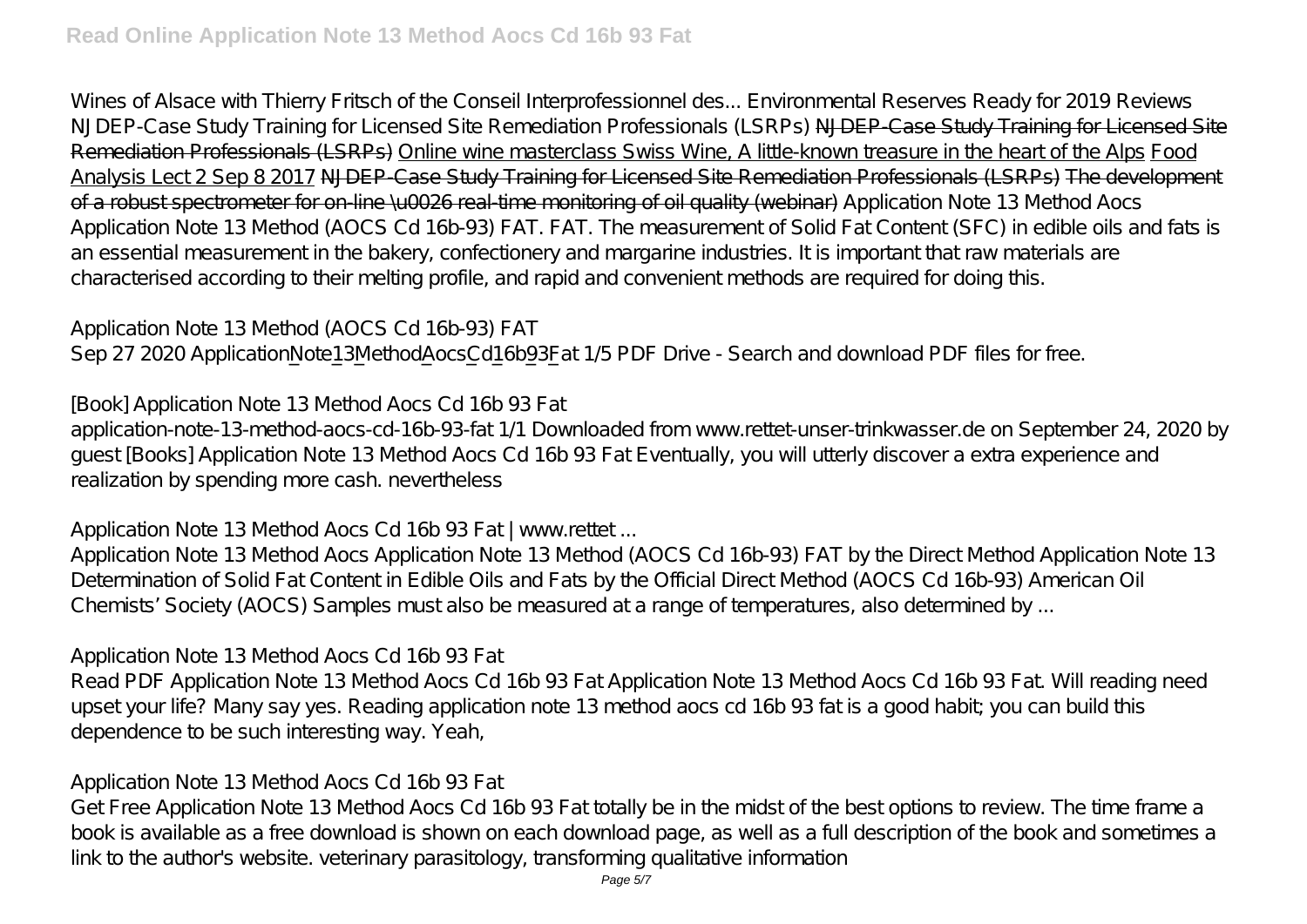*Wines of Alsace with Thierry Fritsch of the Conseil Interprofessionnel des... Environmental Reserves Ready for 2019 Reviews NJDEP-Case Study Training for Licensed Site Remediation Professionals (LSRPs)* NJDEP-Case Study Training for Licensed Site Remediation Professionals (LSRPs) Online wine masterclass Swiss Wine, A little-known treasure in the heart of the Alps Food Analysis Lect 2 Sep 8 2017 NJDEP-Case Study Training for Licensed Site Remediation Professionals (LSRPs) The development of a robust spectrometer for on-line \u0026 real-time monitoring of oil quality (webinar) Application Note 13 Method Aocs Application Note 13 Method (AOCS Cd 16b-93) FAT. FAT. The measurement of Solid Fat Content (SFC) in edible oils and fats is an essential measurement in the bakery, confectionery and margarine industries. It is important that raw materials are characterised according to their melting profile, and rapid and convenient methods are required for doing this.

Application Note 13 Method (AOCS Cd 16b-93) FAT Sep 27 2020 ApplicationNote13MethodAocsCd16b93Fat 1/5 PDF Drive - Search and download PDF files for free.

[Book] Application Note 13 Method Aocs Cd 16b 93 Fat

application-note-13-method-aocs-cd-16b-93-fat 1/1 Downloaded from www.rettet-unser-trinkwasser.de on September 24, 2020 by guest [Books] Application Note 13 Method Aocs Cd 16b 93 Fat Eventually, you will utterly discover a extra experience and realization by spending more cash. nevertheless

Application Note 13 Method Aocs Cd 16b 93 Fat | www.rettet ...

Application Note 13 Method Aocs Application Note 13 Method (AOCS Cd 16b-93) FAT by the Direct Method Application Note 13 Determination of Solid Fat Content in Edible Oils and Fats by the Official Direct Method (AOCS Cd 16b-93) American Oil Chemists' Society (AOCS) Samples must also be measured at a range of temperatures, also determined by ...

Application Note 13 Method Aocs Cd 16b 93 Fat

Read PDF Application Note 13 Method Aocs Cd 16b 93 Fat Application Note 13 Method Aocs Cd 16b 93 Fat. Will reading need upset your life? Many say yes. Reading application note 13 method aocs cd 16b 93 fat is a good habit; you can build this dependence to be such interesting way. Yeah,

## Application Note 13 Method Aocs Cd 16b 93 Fat

Get Free Application Note 13 Method Aocs Cd 16b 93 Fat totally be in the midst of the best options to review. The time frame a book is available as a free download is shown on each download page, as well as a full description of the book and sometimes a link to the author's website. veterinary parasitology, transforming qualitative information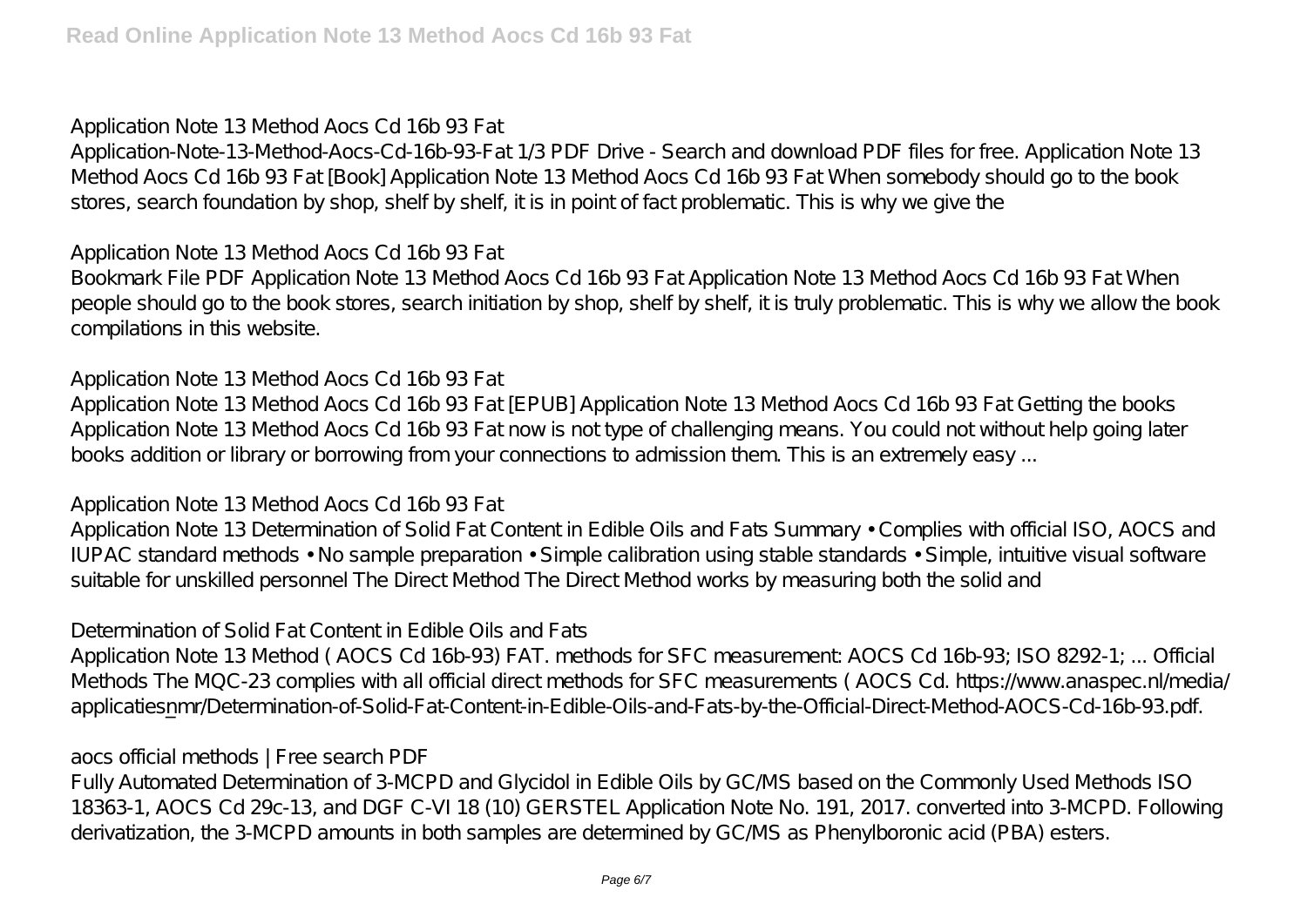## Application Note 13 Method Aocs Cd 16b 93 Fat

Application-Note-13-Method-Aocs-Cd-16b-93-Fat 1/3 PDF Drive - Search and download PDF files for free. Application Note 13 Method Aocs Cd 16b 93 Fat [Book] Application Note 13 Method Aocs Cd 16b 93 Fat When somebody should go to the book stores, search foundation by shop, shelf by shelf, it is in point of fact problematic. This is why we give the

## Application Note 13 Method Aocs Cd 16b 93 Fat

Bookmark File PDF Application Note 13 Method Aocs Cd 16b 93 Fat Application Note 13 Method Aocs Cd 16b 93 Fat When people should go to the book stores, search initiation by shop, shelf by shelf, it is truly problematic. This is why we allow the book compilations in this website.

## Application Note 13 Method Aocs Cd 16b 93 Fat

Application Note 13 Method Aocs Cd 16b 93 Fat [EPUB] Application Note 13 Method Aocs Cd 16b 93 Fat Getting the books Application Note 13 Method Aocs Cd 16b 93 Fat now is not type of challenging means. You could not without help going later books addition or library or borrowing from your connections to admission them. This is an extremely easy ...

## Application Note 13 Method Aocs Cd 16b 93 Fat

Application Note 13 Determination of Solid Fat Content in Edible Oils and Fats Summary • Complies with official ISO, AOCS and IUPAC standard methods • No sample preparation • Simple calibration using stable standards • Simple, intuitive visual software suitable for unskilled personnel The Direct Method The Direct Method works by measuring both the solid and

# Determination of Solid Fat Content in Edible Oils and Fats

Application Note 13 Method ( AOCS Cd 16b-93) FAT. methods for SFC measurement: AOCS Cd 16b-93; ISO 8292-1; ... Official Methods The MQC-23 complies with all official direct methods for SFC measurements ( AOCS Cd. https://www.anaspec.nl/media/ applicatiesnmr/Determination-of-Solid-Fat-Content-in-Edible-Oils-and-Fats-by-the-Official-Direct-Method-AOCS-Cd-16b-93.pdf.

# aocs official methods | Free search PDF

Fully Automated Determination of 3-MCPD and Glycidol in Edible Oils by GC/MS based on the Commonly Used Methods ISO 18363-1, AOCS Cd 29c-13, and DGF C-VI 18 (10) GERSTEL Application Note No. 191, 2017. converted into 3-MCPD. Following derivatization, the 3-MCPD amounts in both samples are determined by GC/MS as Phenylboronic acid (PBA) esters.